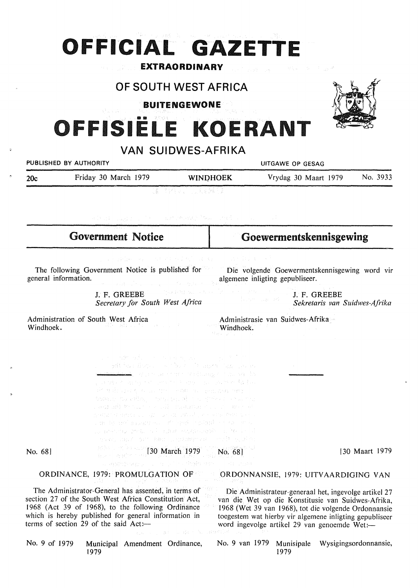# **OFFICIAL GAZETTE**

### **EXTRAORDINARY**

### OF SOUTH WEST AFRICA

BUITENGEWONE



## ISIËLE KOERANT

| <b>VAN SUIDWES-AFRIKA</b> |                                                                                                                                                                                                                                                                                                                                                                                                                                                                                                                                                                                                                                                                                                                                                                                          |                                                                                                                                                                                                                                                                                                                                            |                                                                                                                                                                                                                                                                                |                                               |                       |
|---------------------------|------------------------------------------------------------------------------------------------------------------------------------------------------------------------------------------------------------------------------------------------------------------------------------------------------------------------------------------------------------------------------------------------------------------------------------------------------------------------------------------------------------------------------------------------------------------------------------------------------------------------------------------------------------------------------------------------------------------------------------------------------------------------------------------|--------------------------------------------------------------------------------------------------------------------------------------------------------------------------------------------------------------------------------------------------------------------------------------------------------------------------------------------|--------------------------------------------------------------------------------------------------------------------------------------------------------------------------------------------------------------------------------------------------------------------------------|-----------------------------------------------|-----------------------|
| PUBLISHED BY AUTHORITY    |                                                                                                                                                                                                                                                                                                                                                                                                                                                                                                                                                                                                                                                                                                                                                                                          |                                                                                                                                                                                                                                                                                                                                            | UITGAWE OP GESAG                                                                                                                                                                                                                                                               |                                               |                       |
| 20c                       | Friday 30 March 1979                                                                                                                                                                                                                                                                                                                                                                                                                                                                                                                                                                                                                                                                                                                                                                     | <b>WINDHOEK</b>                                                                                                                                                                                                                                                                                                                            |                                                                                                                                                                                                                                                                                | Vrydag 30 Maart 1979                          | No. 3933              |
|                           |                                                                                                                                                                                                                                                                                                                                                                                                                                                                                                                                                                                                                                                                                                                                                                                          | 1회 - 회장의 대도 - 이 사회 회원회 원회                                                                                                                                                                                                                                                                                                                  |                                                                                                                                                                                                                                                                                |                                               |                       |
|                           | with an employment of the conduction and the control of the conduction of                                                                                                                                                                                                                                                                                                                                                                                                                                                                                                                                                                                                                                                                                                                |                                                                                                                                                                                                                                                                                                                                            |                                                                                                                                                                                                                                                                                |                                               |                       |
| <b>Government Notice</b>  |                                                                                                                                                                                                                                                                                                                                                                                                                                                                                                                                                                                                                                                                                                                                                                                          |                                                                                                                                                                                                                                                                                                                                            | Goewermentskennisgewing                                                                                                                                                                                                                                                        |                                               |                       |
|                           | 的复数异胞病 医氯化物 经经济收益 化乙基苯胺 医心包 计数据 医心包炎<br>The following Government Notice is published for<br>general information.<br>With Street Commercial Commercial<br>J. F. GREEBE<br>Secretary for South West Africa                                                                                                                                                                                                                                                                                                                                                                                                                                                                                                                                                                                 | $\left(\frac{1}{2} \log \left(1+\frac{2\sqrt{3}}{3}\right)\right) \log \left(1-\log \left(\frac{1}{2}\right)\right) \leq \frac{1}{2} \log \left(1-\log \left(1-\log \left(1+\log \left(1-\log \left(\frac{1}{2}\right)\right)\right)\right)\right) \leq \frac{1}{2} \log \left(1-\log \left(1-\log \left(\frac{1}{2}\right)\right)\right)$ | Die volgende Goewermentskennisgewing word vir<br>algemene inligting gepubliseer.<br>(1975) Samuel Police                                                                                                                                                                       | J. F. GREEBE<br>Sekretaris van Suidwes-Afrika |                       |
| Windhoek.                 | Administration of South West Africa<br>in 1964 - Belgius I, film in 1940 i single st                                                                                                                                                                                                                                                                                                                                                                                                                                                                                                                                                                                                                                                                                                     | Windhoek.<br>Mark Story (1997)                                                                                                                                                                                                                                                                                                             | Administrasie van Suidwes-Afrika                                                                                                                                                                                                                                               |                                               |                       |
|                           | and the second contract of the second contract of the second contract of the second contract of the second contract of the second contract of the second contract of the second contract of the second contract of the second<br>Tell for Byers and By Collegers Can Lynn,<br><u>manifesto de presidente de la contexta de la propia de la p</u><br>。 计分组 不同性格的 经利润的 经利息 网络人名印尼埃尔 地质数属物<br>de mais specto como um contro no consistente certa<br>bance of effort and best of the gold of the con-<br>raguaine anns an Aonaichte anns an an a<br>presentes restaurant construction of permanent security of<br>can be not supercomment and inspiration on one of<br>is menter terms of the menteries and conference<br>rak, spl and the second research results<br>[30 March 1979 No. 68] |                                                                                                                                                                                                                                                                                                                                            |                                                                                                                                                                                                                                                                                |                                               | [30 Maart 1979]       |
| No. 68                    | a enstablement of the state and                                                                                                                                                                                                                                                                                                                                                                                                                                                                                                                                                                                                                                                                                                                                                          | 计算 计加速率                                                                                                                                                                                                                                                                                                                                    |                                                                                                                                                                                                                                                                                |                                               |                       |
|                           | ORDINANCE, 1979: PROMULGATION OF                                                                                                                                                                                                                                                                                                                                                                                                                                                                                                                                                                                                                                                                                                                                                         |                                                                                                                                                                                                                                                                                                                                            | ORDONNANSIE, 1979: UITVAARDIGING VAN                                                                                                                                                                                                                                           |                                               |                       |
|                           | The Administrator-General has assented, in terms of<br>section 27 of the South West Africa Constitution Act,<br>1968 (Act 39 of 1968), to the following Ordinance<br>which is hereby published for general information in<br>terms of section 29 of the said $Act$ :-<br>经外交公司 电加工运算机构                                                                                                                                                                                                                                                                                                                                                                                                                                                                                                   | acertist value                                                                                                                                                                                                                                                                                                                             | Die Administrateur-generaal het, ingevolge artikel 27<br>van die Wet op die Konstitusie van Suidwes-Afrika,<br>1968 (Wet 39 van 1968), tot die volgende Ordonnansie<br>toegestem wat hierby vir algemene inligting gepubliseer<br>word ingevolge artikel 29 van genoemde Wet:- |                                               |                       |
| No. 9 of 1979             | Municipal Amendment Ordinance,<br>1979                                                                                                                                                                                                                                                                                                                                                                                                                                                                                                                                                                                                                                                                                                                                                   |                                                                                                                                                                                                                                                                                                                                            | No. 9 van 1979<br>Munisipale<br>1979                                                                                                                                                                                                                                           |                                               | Wysigingsordonnansie, |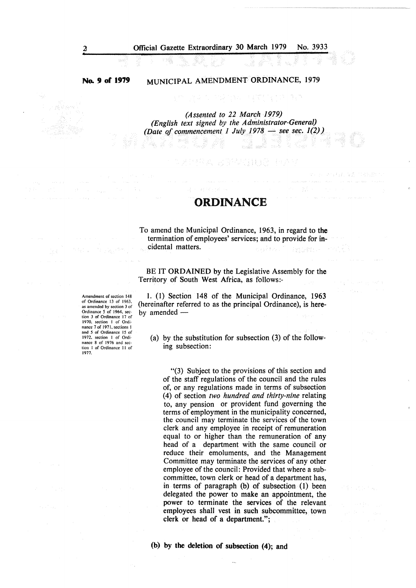#### **No. 9 of' 1919**

#### MUNICIPAL AMENDMENT ORDINANCE, 1979

*(Assented to 22 March 1979) (English text signed by the Administrator-General) (Date of commencement 1 July 1978 – see sec. 1(2))* 

#### **ORDINANCE**

이름을 보니 내 빨간대리를 풀어?

To amend the Municipal Ordinance, 1963, in regard to **the**  termination of employees' services; and to provide for incidental matters. anas Personal

BE IT **ORDAINED** by the Legislative Assembly for the Territory of South West Africa, as follows:-

Amendment of section 148 of Ordinance 13 of 1963. as amended by section 3 of Ordinance 5 of 1964, sec· lion J of Ordinance 17 of 1970, section I of Ordi· nance 7 of 1971, sections I and *5* of Ordinance 15 of 1972, section I of Ordinance 8 of 1976 and sec· lion I of Ordinance 11 of 1977.

1. (1) Section 148 of the Municipal Ordinance, 1963 (hereinafter referred to as the principal Ordinance), is hereby amended  $-$ 

(a) by the substitution for subsection (3) of the following subsection:

"(3) Subject to the provisions of this section and of the staff regulations of the council and the rules of, or any regulations made in terms of subsection (4) of section *two hundred and thirty-nine* relating to, any pension or provident fund governing the terms of employment in the municipality concerned, the council may terminate the services of the town clerk and any employee in receipt of remuneration equal to or higher than the remuneration of any head of a department with the same council or reduce their emoluments, and the Management Committee may terminate the services of any other employee of the council: Provided that where a subcommittee, town clerk or head of a department has, in terms of paragraph (b) of subsection (1) been delegated the power to make an appointment, the power to terminate the services of the relevant employees shall vest in such subcommittee, town clerk or head of a department.";

(b) by the deletion of subsection (4); and

2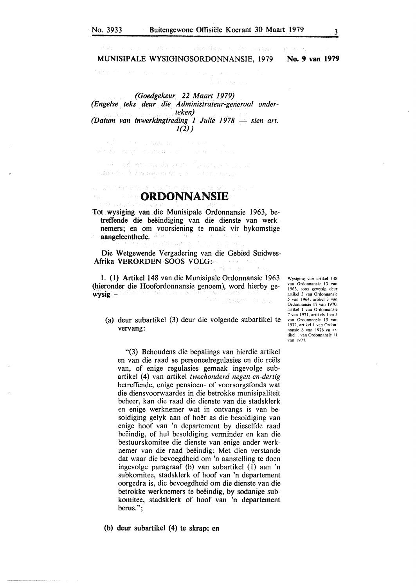#### MUNISIPALE WYSIGINGSORDONNANSIE, 1979 **No. 9 van 1979**

**WEST REAL** 

同学の

*(Goedgekeur 22 Maart 1979) (Engelse teks deur die Administrateur-generaal onderteken) (Datum van inwerkingtreding 1 Julie 1978 — sien art. 1(2))* 

1973年 第2回 49 年代 PRODUCED 2010 - 100 BS an a chuid ann an air an t-ainm ann.<br>Eamar A-managum (A-s trìocht an airsean

of a confater book

**ORDONNANSIE** 

Tot wysiging van die Munisipale Ordonnansie 1963, betreffende die beëindiging van die dienste van werknemers; en om voorsiening te maak vir bykomstige aangeleenthede.

Die Wetgewende Vergadering van die Gebied Suidwes-Afrika VERORDEN SOOS VOLG:-

1. (l) Artikel 148 van die Munisipale Ordonnansie 1963 (hieronder die Hoofordonnansie genoem), word hierby ge $wysig -$ 

(a) deur subartikel (3) deur die volgende subartikel te **vervang:** 

"(3) Behoudens die bepalings van hierdie artikel en van die raad se personeelregulasies en die reels van, of enige regulasies gemaak ingevolge subartikel (4) van artikel *tweehonderd negen-en-dertig*  betreffende, enige pensioen- of voorsorgsfonds wat die diensvoorwaardes in die betrokke munisipaliteit beheer, kan die raad die dienste van die stadsklerk en enige werknemer wat in ontvangs is van besoldiging gelyk aan of hoer as die besoldiging van enige hoof van 'n departement by dieselfde raad beeindig, of hul besoldiging verminder en kan die bestuurskomitee die dienste van enige ander werknemer van die raad beëindig: Met dien verstande dat waar die bevoegdheid om 'n aanstelling te doen ingevolge paragraaf (b) van subartikel (I) aan 'n subkomitee, stadsklerk of hoof van 'n departement oorgedra is, die bevoegdheid om die dienste van die betrokke werknemers te beëindig, by sodanige subkomitee, stadsklerk of hoof van 'n departement berus.";

(b) deur subartikel (4) te skrap; en

Wysiging van artikel 148 van Ordonnansie 13 van 1963, soos gewysig deur artikcl 3 van Ordonnansic 5 van 1964, artikel 3 van<br>Ordonnansie 17 van 1970, artikel 1 van Ordonnansie 7 van 1971, artikels I en 5 van Ordonnansic 15 van 1972. artikcl 1 van Ordon· nansic 8 van 1976 en artikel I van Ordonnansic 11 van 1977.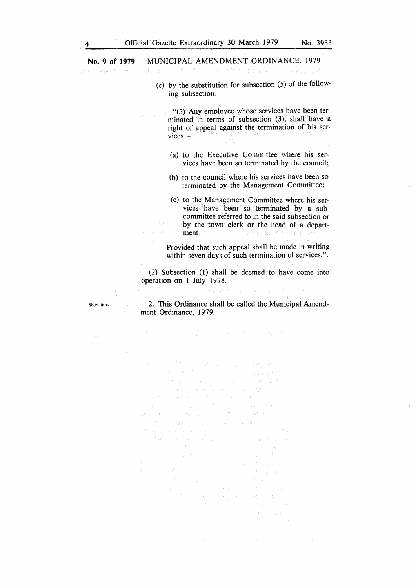## **No. 9 of 1979** MUNICIPAL AMENDMENT ORDINANCE, 1979

想得到 网络山南 医缺有

Short title.

(c) by the substitution for subsection (5) of the following subsection:

"(5) Any employee whose services have been terminated in terms of subsection (3), shall have a right of appeal against the termination of his ser~ vices  $-$ 

- (a) to the Executive Committee where his services have been so terminated by the council;
- (b) to the council where his services have been so terminated by the Management Committee;
- (c) to the Management Committee where his services have been so terminated by a subcommittee referred to in the said subsection or by the town clerk or the head of a depart-<br>ment: a ng Lager ment:

Provided that such appeal shall be made in writing within seven days of such termination of services.".

.<br>Tedes seu

(2) Subsection (1) shall be deemed to have come into operation on 1 July 1978.

2. This Ordinance shall be called the Municipal Amendment Ordinance, 1979.

general and the company of the grade of the graph process.<br>The CM graph of the graph process of the control of the company Congression Common 不全路的 小园区